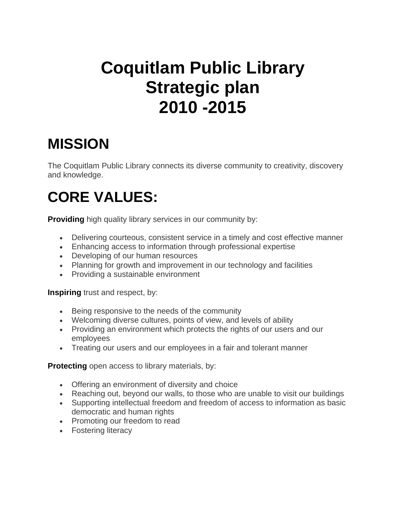# **Coquitlam Public Library Strategic plan 2010 -2015**

## **MISSION**

The Coquitlam Public Library connects its diverse community to creativity, discovery and knowledge.

# **CORE VALUES:**

**Providing** high quality library services in our community by:

- Delivering courteous, consistent service in a timely and cost effective manner
- Enhancing access to information through professional expertise
- Developing of our human resources
- Planning for growth and improvement in our technology and facilities
- Providing a sustainable environment

**Inspiring** trust and respect, by:

- Being responsive to the needs of the community
- Welcoming diverse cultures, points of view, and levels of ability
- Providing an environment which protects the rights of our users and our employees
- Treating our users and our employees in a fair and tolerant manner

**Protecting** open access to library materials, by:

- Offering an environment of diversity and choice
- Reaching out, beyond our walls, to those who are unable to visit our buildings
- Supporting intellectual freedom and freedom of access to information as basic democratic and human rights
- Promoting our freedom to read
- Fostering literacy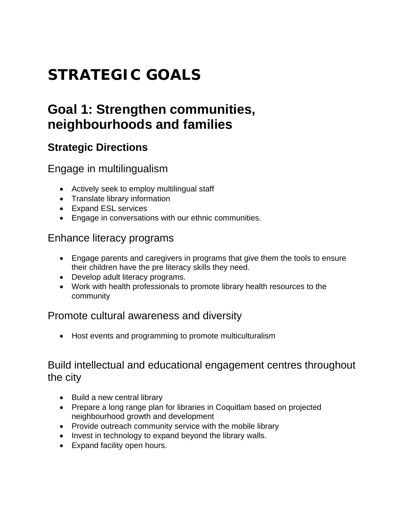# **STRATEGIC GOALS**

### **Goal 1: Strengthen communities, neighbourhoods and families**

### **Strategic Directions**

Engage in multilingualism

- Actively seek to employ multilingual staff
- Translate library information
- Expand ESL services
- Engage in conversations with our ethnic communities.

#### Enhance literacy programs

- Engage parents and caregivers in programs that give them the tools to ensure their children have the pre literacy skills they need.
- Develop adult literacy programs.
- Work with health professionals to promote library health resources to the community

#### Promote cultural awareness and diversity

• Host events and programming to promote multiculturalism

#### Build intellectual and educational engagement centres throughout the city

- Build a new central library
- Prepare a long range plan for libraries in Coquitlam based on projected neighbourhood growth and development
- Provide outreach community service with the mobile library
- Invest in technology to expand beyond the library walls.
- Expand facility open hours.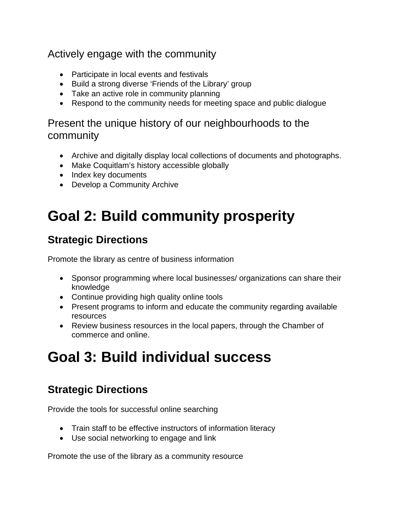#### Actively engage with the community

- Participate in local events and festivals
- Build a strong diverse 'Friends of the Library' group
- Take an active role in community planning
- Respond to the community needs for meeting space and public dialogue

#### Present the unique history of our neighbourhoods to the community

- Archive and digitally display local collections of documents and photographs.
- Make Coquitlam's history accessible globally
- Index key documents
- Develop a Community Archive

# **Goal 2: Build community prosperity**

### **Strategic Directions**

Promote the library as centre of business information

- Sponsor programming where local businesses/ organizations can share their knowledge
- Continue providing high quality online tools
- Present programs to inform and educate the community regarding available resources
- Review business resources in the local papers, through the Chamber of commerce and online.

## **Goal 3: Build individual success**

### **Strategic Directions**

Provide the tools for successful online searching

- Train staff to be effective instructors of information literacy
- Use social networking to engage and link

Promote the use of the library as a community resource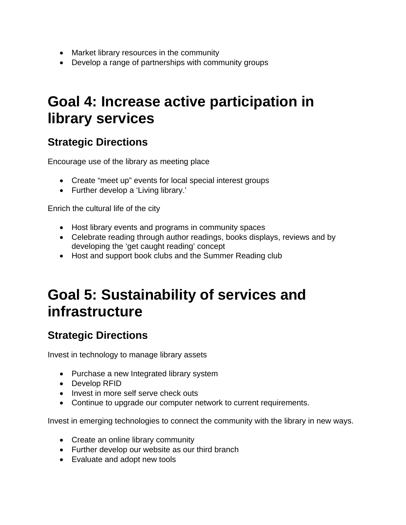- Market library resources in the community
- Develop a range of partnerships with community groups

## **Goal 4: Increase active participation in library services**

### **Strategic Directions**

Encourage use of the library as meeting place

- Create "meet up" events for local special interest groups
- Further develop a 'Living library.'

Enrich the cultural life of the city

- Host library events and programs in community spaces
- Celebrate reading through author readings, books displays, reviews and by developing the 'get caught reading' concept
- Host and support book clubs and the Summer Reading club

## **Goal 5: Sustainability of services and infrastructure**

### **Strategic Directions**

Invest in technology to manage library assets

- Purchase a new Integrated library system
- Develop RFID
- Invest in more self serve check outs
- Continue to upgrade our computer network to current requirements.

Invest in emerging technologies to connect the community with the library in new ways.

- Create an online library community
- Further develop our website as our third branch
- Evaluate and adopt new tools